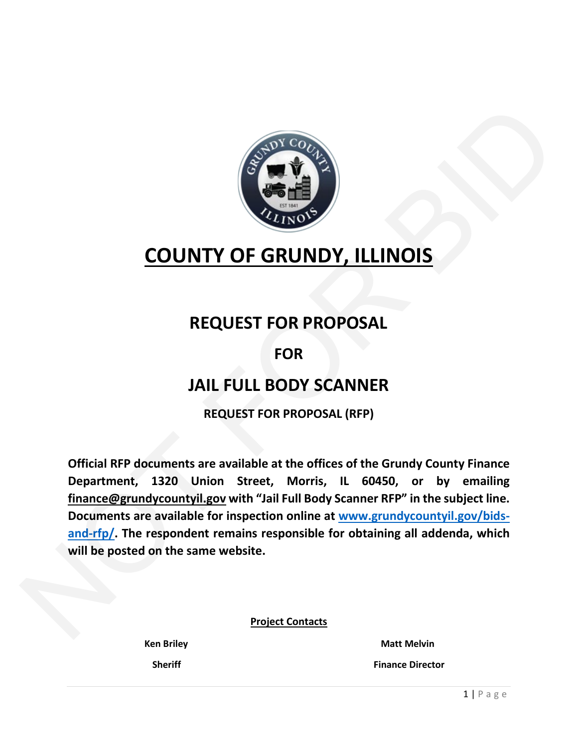

# **COUNTY OF GRUNDY, ILLINOIS**

## **REQUEST FOR PROPOSAL**

## **FOR**

## **JAIL FULL BODY SCANNER**

**REQUEST FOR PROPOSAL (RFP)**

**Official RFP documents are available at the offices of the Grundy County Finance Department, 1320 Union Street, Morris, IL 60450, or by emailing finance@grundycountyil.gov with "Jail Full Body Scanner RFP" in the subject line. Documents are available for inspection online at www.grundycountyil.gov/bidsand-rfp/. The respondent remains responsible for obtaining all addenda, which will be posted on the same website.** COUNTY OF GRUNDY, ILLI[NO](http://www.grundycountyil.gov/bids-and-rfp/)IS<br>
REQUEST FOR PROPOSAL<br>
FOR<br>
JAIL FULL BODY SCANNER<br>
REQUEST FOR PROPOSAL<br>
FOR<br>
JAIL FULL BODY SCANNER<br>
REQUEST FOR PROPOSAL<br>
FOR<br>
Official RFP documents are available to the offices of the Grundy

**Project Contacts**

Ken Briley **Matt Melvin** 

 **Sheriff Finance Director**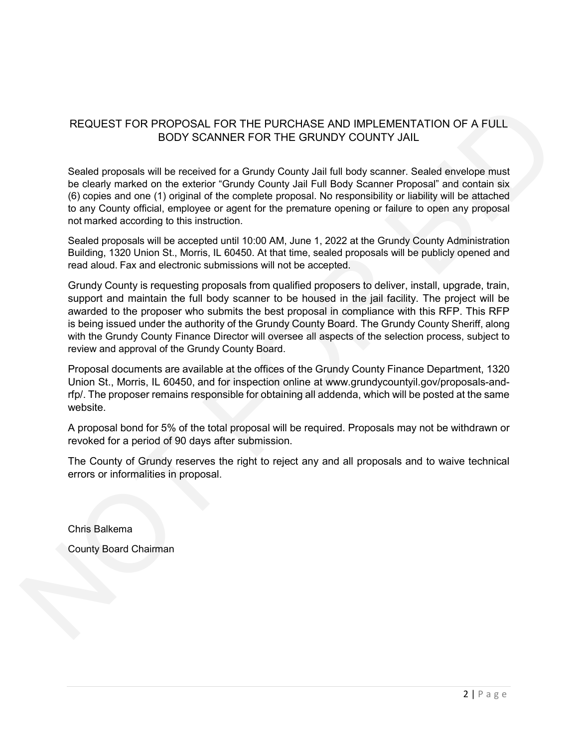#### REQUEST FOR PROPOSAL FOR THE PURCHASE AND IMPLEMENTATION OF A FULL BODY SCANNER FOR THE GRUNDY COUNTY JAIL

Sealed proposals will be received for a Grundy County Jail full body scanner. Sealed envelope must be clearly marked on the exterior "Grundy County Jail Full Body Scanner Proposal" and contain six (6) copies and one (1) original of the complete proposal. No responsibility or liability will be attached to any County official, employee or agent for the premature opening or failure to open any proposal not marked according to this instruction.

Sealed proposals will be accepted until 10:00 AM, June 1, 2022 at the Grundy County Administration Building, 1320 Union St., Morris, IL 60450. At that time, sealed proposals will be publicly opened and read aloud. Fax and electronic submissions will not be accepted.

Grundy County is requesting proposals from qualified proposers to deliver, install, upgrade, train, support and maintain the full body scanner to be housed in the jail facility. The project will be awarded to the proposer who submits the best proposal in compliance with this RFP. This RFP is being issued under the authority of the Grundy County Board. The Grundy County Sheriff, along with the Grundy County Finance Director will oversee all aspects of the selection process, subject to review and approval of the Grundy County Board. NOT FOR BID

Proposal documents are available at the offices of the Grundy County Finance Department, 1320 Union St., Morris, IL 60450, and for inspection online at www.grundycountyil.gov/proposals-andrfp/. The proposer remains responsible for obtaining all addenda, which will be posted at the same website.

A proposal bond for 5% of the total proposal will be required. Proposals may not be withdrawn or revoked for a period of 90 days after submission.

The County of Grundy reserves the right to reject any and all proposals and to waive technical errors or informalities in proposal.

Chris Balkema

County Board Chairman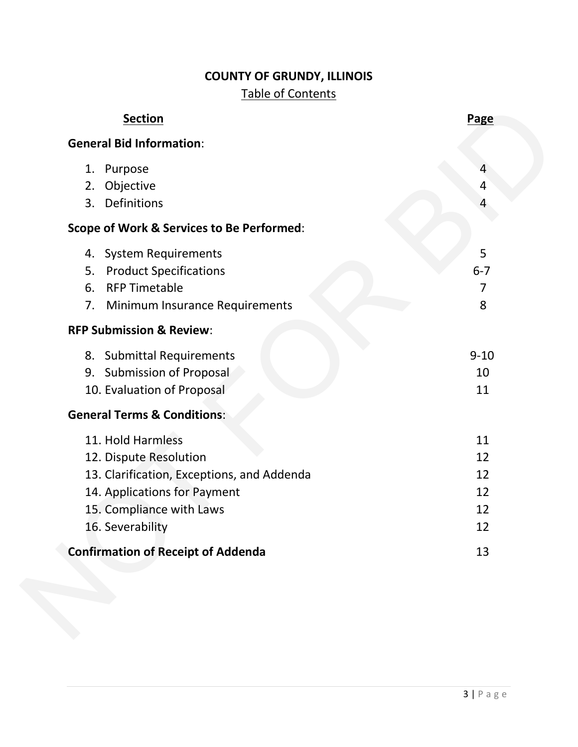## **COUNTY OF GRUNDY, ILLINOIS**

## Table of Contents

| <b>Section</b>                                       | <b>Page</b> |
|------------------------------------------------------|-------------|
| <b>General Bid Information:</b>                      |             |
| 1. Purpose                                           |             |
| Objective<br>2.                                      | 4           |
| Definitions<br>3.                                    |             |
| <b>Scope of Work &amp; Services to Be Performed:</b> |             |
| 4. System Requirements                               | 5           |
| <b>Product Specifications</b><br>5.                  | $6 - 7$     |
| <b>RFP Timetable</b><br>6.                           | 7           |
| Minimum Insurance Requirements<br>7.                 | 8           |
| <b>RFP Submission &amp; Review:</b>                  |             |
| 8. Submittal Requirements                            | $9 - 10$    |
| 9. Submission of Proposal                            | 10          |
| 10. Evaluation of Proposal                           | 11          |
| <b>General Terms &amp; Conditions:</b>               |             |
| 11. Hold Harmless                                    | 11          |
| 12. Dispute Resolution                               | 12          |
| 13. Clarification, Exceptions, and Addenda           | 12          |
| 14. Applications for Payment                         | 12          |
| 15. Compliance with Laws                             | 12          |
| 16. Severability                                     | 12          |
| <b>Confirmation of Receipt of Addenda</b>            | 13          |
|                                                      |             |
|                                                      |             |
|                                                      |             |
|                                                      |             |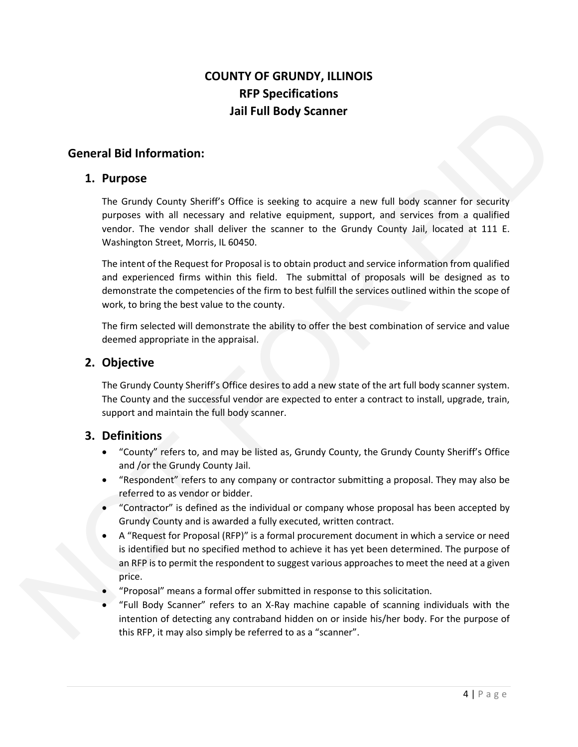## **COUNTY OF GRUNDY, ILLINOIS RFP Specifications Jail Full Body Scanner**

#### **General Bid Information:**

#### **1. Purpose**

The Grundy County Sheriff's Office is seeking to acquire a new full body scanner for security purposes with all necessary and relative equipment, support, and services from a qualified vendor. The vendor shall deliver the scanner to the Grundy County Jail, located at 111 E. Washington Street, Morris, IL 60450.

The intent of the Request for Proposal is to obtain product and service information from qualified and experienced firms within this field. The submittal of proposals will be designed as to demonstrate the competencies of the firm to best fulfill the services outlined within the scope of work, to bring the best value to the county. Jail Full Body Scanner<br>
Friff's Office is seeking to acquire a new full body scanner for security<br>
ssary and relative equipment, support, and services from a qualified<br>
rall deliver the scanner to the Grundy County Jail, l

The firm selected will demonstrate the ability to offer the best combination of service and value deemed appropriate in the appraisal.

#### **2. Objective**

The Grundy County Sheriff's Office desires to add a new state of the art full body scanner system. The County and the successful vendor are expected to enter a contract to install, upgrade, train, support and maintain the full body scanner.

#### **3. Definitions**

- "County" refers to, and may be listed as, Grundy County, the Grundy County Sheriff's Office and /or the Grundy County Jail.
- "Respondent" refers to any company or contractor submitting a proposal. They may also be referred to as vendor or bidder.
- "Contractor" is defined as the individual or company whose proposal has been accepted by Grundy County and is awarded a fully executed, written contract.
- A "Request for Proposal (RFP)" is a formal procurement document in which a service or need is identified but no specified method to achieve it has yet been determined. The purpose of an RFP is to permit the respondent to suggest various approaches to meet the need at a given price. 3. Definitions<br>
• "County" refers to, and may be<br>
and /or the Grundy County Jail.<br>
• "Respondent" refers to any cor<br>
referred to as vendor or bidder.<br>
• "Contractor" is defined as the i<br>
Grundy County and is awarded<br>
• A "
	- "Proposal" means a formal offer submitted in response to this solicitation.
	- "Full Body Scanner" refers to an X-Ray machine capable of scanning individuals with the intention of detecting any contraband hidden on or inside his/her body. For the purpose of this RFP, it may also simply be referred to as a "scanner".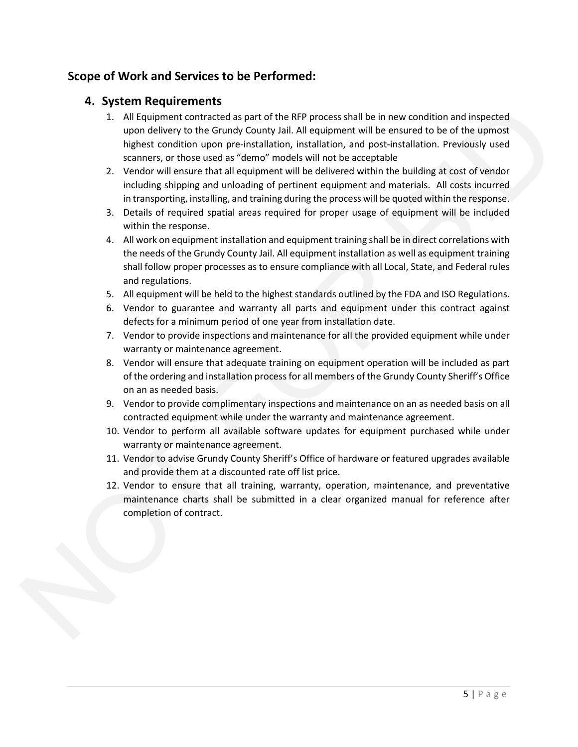## **Scope of Work and Services to be Performed:**

#### **4. System Requirements**

- 1. All Equipment contracted as part of the RFP process shall be in new condition and inspected upon delivery to the Grundy County Jail. All equipment will be ensured to be of the upmost highest condition upon pre-installation, installation, and post-installation. Previously used scanners, or those used as "demo" models will not be acceptable ••• Josepher Land (and the RFP process shall be in new condition and inspected<br>space in redspace to the Condition space of the RFP process shall be in energy of the Government of the Schwarzel to the difference of the Schw
	- 2. Vendor will ensure that all equipment will be delivered within the building at cost of vendor including shipping and unloading of pertinent equipment and materials. All costs incurred in transporting, installing, and training during the process will be quoted within the response.
	- 3. Details of required spatial areas required for proper usage of equipment will be included within the response.
	- 4. All work on equipment installation and equipment training shall be in direct correlations with the needs of the Grundy County Jail. All equipment installation as well as equipment training shall follow proper processes as to ensure compliance with all Local, State, and Federal rules and regulations.
	- 5. All equipment will be held to the highest standards outlined by the FDA and ISO Regulations.
	- 6. Vendor to guarantee and warranty all parts and equipment under this contract against defects for a minimum period of one year from installation date.
	- 7. Vendor to provide inspections and maintenance for all the provided equipment while under warranty or maintenance agreement.
	- 8. Vendor will ensure that adequate training on equipment operation will be included as part of the ordering and installation process for all members of the Grundy County Sheriff's Office on an as needed basis.
	- 9. Vendor to provide complimentary inspections and maintenance on an as needed basis on all contracted equipment while under the warranty and maintenance agreement.
	- 10. Vendor to perform all available software updates for equipment purchased while under warranty or maintenance agreement.
	- 11. Vendor to advise Grundy County Sheriff's Office of hardware or featured upgrades available and provide them at a discounted rate off list price.
	- 12. Vendor to ensure that all training, warranty, operation, maintenance, and preventative maintenance charts shall be submitted in a clear organized manual for reference after completion of contract.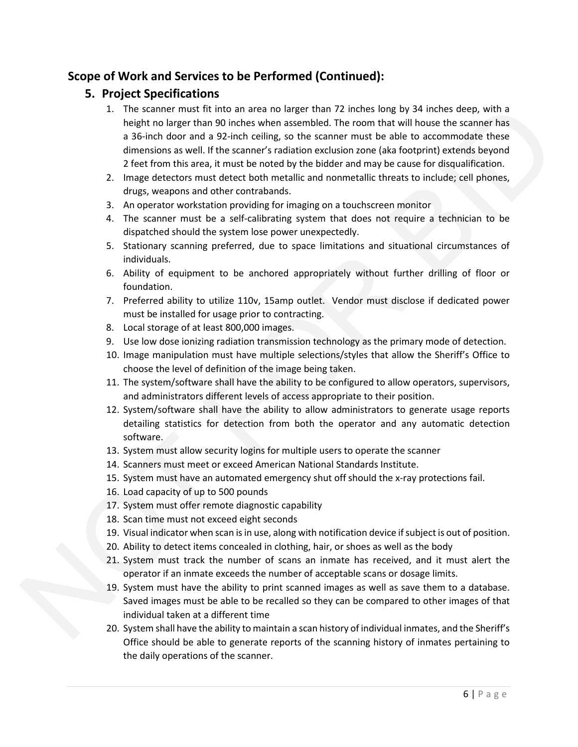## **Scope of Work and Services to be Performed (Continued):**

## **5. Project Specifications**

- 1. The scanner must fit into an area no larger than 72 inches long by 34 inches deep, with a height no larger than 90 inches when assembled. The room that will house the scanner has a 36-inch door and a 92-inch ceiling, so the scanner must be able to accommodate these dimensions as well. If the scanner's radiation exclusion zone (aka footprint) extends beyond 2 feet from this area, it must be noted by the bidder and may be cause for disqualification. 1. The scanse must fix into a area to larger than 22 inches lowely 34 inches sects, with a height no larger than 20 incidents assombled. The coor that will house the scanse of the scanse of the scanse of the scanse of the
	- 2. Image detectors must detect both metallic and nonmetallic threats to include; cell phones, drugs, weapons and other contrabands.
	- 3. An operator workstation providing for imaging on a touchscreen monitor
	- 4. The scanner must be a self-calibrating system that does not require a technician to be dispatched should the system lose power unexpectedly.
	- 5. Stationary scanning preferred, due to space limitations and situational circumstances of individuals.
	- 6. Ability of equipment to be anchored appropriately without further drilling of floor or foundation.
	- 7. Preferred ability to utilize 110v, 15amp outlet. Vendor must disclose if dedicated power must be installed for usage prior to contracting.
	- 8. Local storage of at least 800,000 images.
	- 9. Use low dose ionizing radiation transmission technology as the primary mode of detection.
	- 10. Image manipulation must have multiple selections/styles that allow the Sheriff's Office to choose the level of definition of the image being taken.
	- 11. The system/software shall have the ability to be configured to allow operators, supervisors, and administrators different levels of access appropriate to their position.
	- 12. System/software shall have the ability to allow administrators to generate usage reports detailing statistics for detection from both the operator and any automatic detection software.
	- 13. System must allow security logins for multiple users to operate the scanner
	- 14. Scanners must meet or exceed American National Standards Institute.
	- 15. System must have an automated emergency shut off should the x-ray protections fail.
	- 16. Load capacity of up to 500 pounds
	- 17. System must offer remote diagnostic capability
	- 18. Scan time must not exceed eight seconds
	- 19. Visual indicator when scan is in use, along with notification device if subject is out of position.
	- 20. Ability to detect items concealed in clothing, hair, or shoes as well as the body
	- 21. System must track the number of scans an inmate has received, and it must alert the operator if an inmate exceeds the number of acceptable scans or dosage limits.
	- 19. System must have the ability to print scanned images as well as save them to a database. Saved images must be able to be recalled so they can be compared to other images of that individual taken at a different time
	- 20. System shall have the ability to maintain a scan history of individual inmates, and the Sheriff's Office should be able to generate reports of the scanning history of inmates pertaining to the daily operations of the scanner.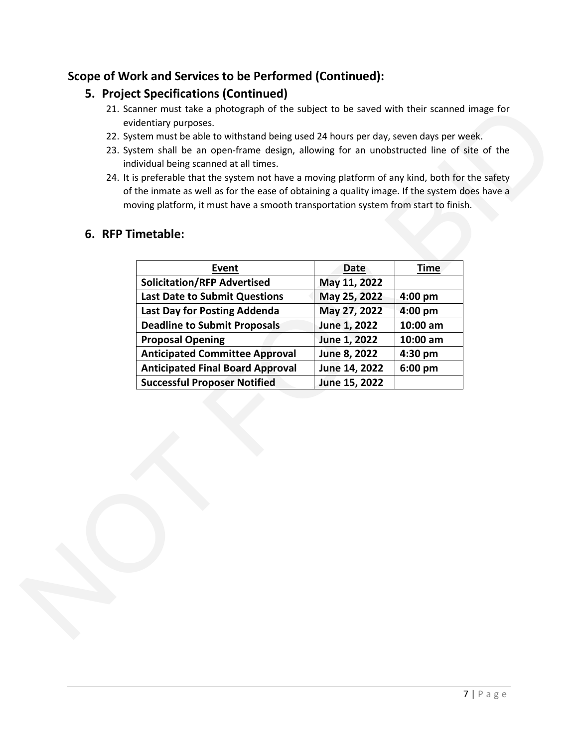## **Scope of Work and Services to be Performed (Continued):**

## **5. Project Specifications (Continued)**

- 21. Scanner must take a photograph of the subject to be saved with their scanned image for evidentiary purposes.
- 22. System must be able to withstand being used 24 hours per day, seven days per week.
- 23. System shall be an open-frame design, allowing for an unobstructed line of site of the individual being scanned at all times.
- 24. It is preferable that the system not have a moving platform of any kind, both for the safety of the inmate as well as for the ease of obtaining a quality image. If the system does have a moving platform, it must have a smooth transportation system from start to finish.

### **6. RFP Timetable:**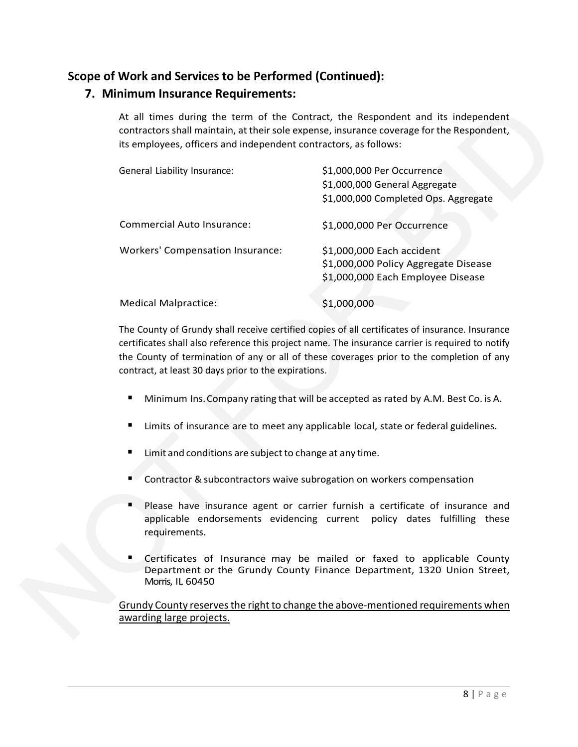## **Scope of Work and Services to be Performed (Continued):**

### **7. Minimum Insurance Requirements:**

| At all times during the term of the Contract, the Respondent and its independent<br>contractors shall maintain, at their sole expense, insurance coverage for the Respondent,<br>its employees, officers and independent contractors, as follows:                                                                                                        |                                                                                                        |
|----------------------------------------------------------------------------------------------------------------------------------------------------------------------------------------------------------------------------------------------------------------------------------------------------------------------------------------------------------|--------------------------------------------------------------------------------------------------------|
| General Liability Insurance:                                                                                                                                                                                                                                                                                                                             | \$1,000,000 Per Occurrence<br>\$1,000,000 General Aggregate                                            |
|                                                                                                                                                                                                                                                                                                                                                          | \$1,000,000 Completed Ops. Aggregate                                                                   |
| <b>Commercial Auto Insurance:</b>                                                                                                                                                                                                                                                                                                                        | \$1,000,000 Per Occurrence                                                                             |
| <b>Workers' Compensation Insurance:</b>                                                                                                                                                                                                                                                                                                                  | \$1,000,000 Each accident<br>\$1,000,000 Policy Aggregate Disease<br>\$1,000,000 Each Employee Disease |
| <b>Medical Malpractice:</b>                                                                                                                                                                                                                                                                                                                              | \$1,000,000                                                                                            |
| The County of Grundy shall receive certified copies of all certificates of insurance. Insurance<br>certificates shall also reference this project name. The insurance carrier is required to notify<br>the County of termination of any or all of these coverages prior to the completion of any<br>contract, at least 30 days prior to the expirations. |                                                                                                        |
| ٠                                                                                                                                                                                                                                                                                                                                                        | Minimum Ins. Company rating that will be accepted as rated by A.M. Best Co. is A.                      |
| п                                                                                                                                                                                                                                                                                                                                                        | Limits of insurance are to meet any applicable local, state or federal guidelines.                     |
| Limit and conditions are subject to change at any time.                                                                                                                                                                                                                                                                                                  |                                                                                                        |

- **Minimum Ins. Company rating that will be accepted as rated by A.M. Best Co. is A.**
- **E** Limits of insurance are to meet any applicable local, state or federal guidelines.
- Limit and conditions are subject to change at any time.
- **Contractor & subcontractors waive subrogation on workers compensation**
- Please have insurance agent or carrier furnish a certificate of insurance and applicable endorsements evidencing current policy dates fulfilling these requirements. ■ Limit and conditions are<br>
■ Contractor & subcontractor<br>
Please have insurance<br>
applicable endorsemer<br>
requirements.<br>
■ Certificates of Insurance<br>
Department or the Grimonic Morris, IL 60450<br>
<u>Grundy County reserves the </u>
	- Certificates of Insurance may be mailed or faxed to applicable County Department or the Grundy County Finance Department, 1320 Union Street, Morris, IL 60450

Grundy County reserves the right to change the above-mentioned requirements when awarding large projects.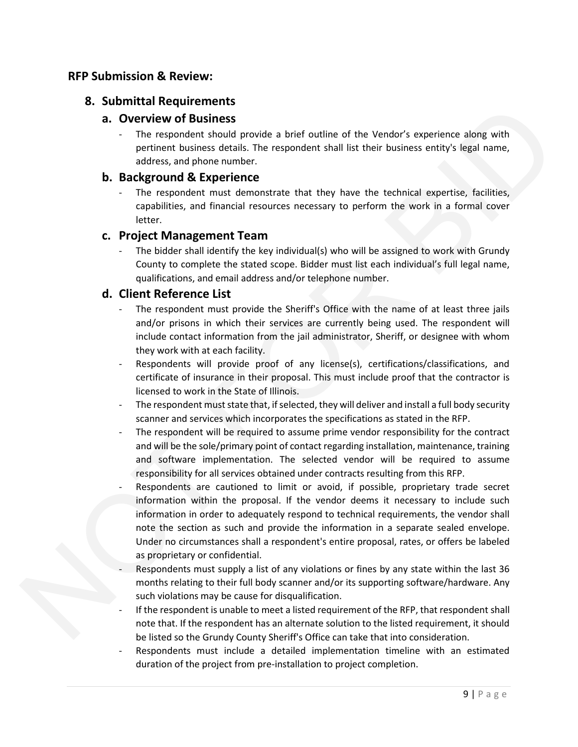#### **RFP Submission & Review:**

#### **8. Submittal Requirements**

#### **a. Overview of Business**

The respondent should provide a brief outline of the Vendor's experience along with pertinent business details. The respondent shall list their business entity's legal name, address, and phone number.

#### **b. Background & Experience**

The respondent must demonstrate that they have the technical expertise, facilities, capabilities, and financial resources necessary to perform the work in a formal cover letter.

#### **c. Project Management Team**

The bidder shall identify the key individual(s) who will be assigned to work with Grundy County to complete the stated scope. Bidder must list each individual's full legal name, qualifications, and email address and/or telephone number.

#### **d. Client Reference List**

- The respondent must provide the Sheriff's Office with the name of at least three jails and/or prisons in which their services are currently being used. The respondent will include contact information from the jail administrator, Sheriff, or designee with whom they work with at each facility.
- Respondents will provide proof of any license(s), certifications/classifications, and certificate of insurance in their proposal. This must include proof that the contractor is licensed to work in the State of Illinois.
- The respondent must state that, if selected, they will deliver and install a full body security scanner and services which incorporates the specifications as stated in the RFP.
- The respondent will be required to assume prime vendor responsibility for the contract and will be the sole/primary point of contact regarding installation, maintenance, training and software implementation. The selected vendor will be required to assume responsibility for all services obtained under contracts resulting from this RFP.
- Respondents are cautioned to limit or avoid, if possible, proprietary trade secret information within the proposal. If the vendor deems it necessary to include such information in order to adequately respond to technical requirements, the vendor shall note the section as such and provide the information in a separate sealed envelope. Under no circumstances shall a respondent's entire proposal, rates, or offers be labeled as proprietary or confidential. **CONTRACT INTERFERITE CONSULTER CONSULTER CONSULTER CONSULTER (SURFACT INTERFERIT CONSULTER CONSULTER CONSULTER CONSULTER (SURFACT INTERFERIT CONSULTER CONSULTER CONSULTER CONSULTER CONSULTER CONSULTER CONSULTER CONSULTER** 
	- Respondents must supply a list of any violations or fines by any state within the last 36 months relating to their full body scanner and/or its supporting software/hardware. Any such violations may be cause for disqualification.
	- If the respondent is unable to meet a listed requirement of the RFP, that respondent shall note that. If the respondent has an alternate solution to the listed requirement, it should be listed so the Grundy County Sheriff's Office can take that into consideration.
	- Respondents must include a detailed implementation timeline with an estimated duration of the project from pre-installation to project completion.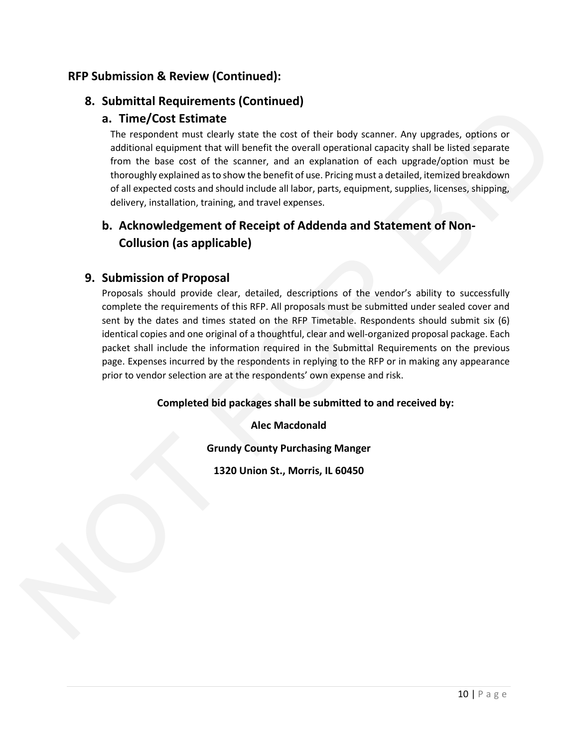## **RFP Submission & Review (Continued):**

## **8. Submittal Requirements (Continued)**

## **a. Time/Cost Estimate**

The respondent must clearly state the cost of their body scanner. Any upgrades, options or additional equipment that will benefit the overall operational capacity shall be listed separate from the base cost of the scanner, and an explanation of each upgrade/option must be thoroughly explained as to show the benefit of use. Pricing must a detailed, itemized breakdown of all expected costs and should include all labor, parts, equipment, supplies, licenses, shipping, delivery, installation, training, and travel expenses.

## **b. Acknowledgement of Receipt of Addenda and Statement of Non-Collusion (as applicable)**

### **9. Submission of Proposal**

Proposals should provide clear, detailed, descriptions of the vendor's ability to successfully complete the requirements of this RFP. All proposals must be submitted under sealed cover and sent by the dates and times stated on the RFP Timetable. Respondents should submit six (6) identical copies and one original of a thoughtful, clear and well-organized proposal package. Each packet shall include the information required in the Submittal Requirements on the previous page. Expenses incurred by the respondents in replying to the RFP or in making any appearance prior to vendor selection are at the respondents' own expense and risk. on continue in required matrices are the state of the body scanner. Any upgrades, options or<br>
The (Cost Estimate<br>
The respondent must clearly state the cost of their body scanner. Any upgrades, options or<br>
additional exam

**Completed bid packages shall be submitted to and received by:**

**Alec Macdonald**

**Grundy County Purchasing Manger**

**1320 Union St., Morris, IL 60450**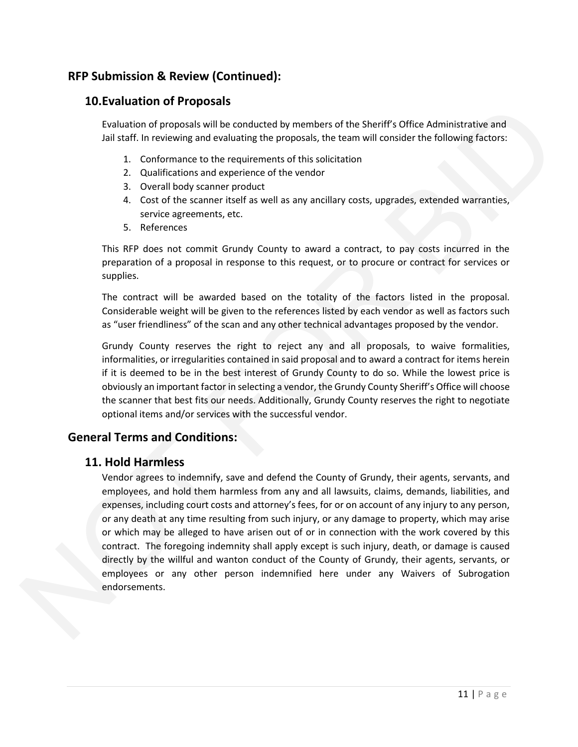## **RFP Submission & Review (Continued):**

#### **10.Evaluation of Proposals**

Evaluation of proposals will be conducted by members of the Sheriff's Office Administrative and Jail staff. In reviewing and evaluating the proposals, the team will consider the following factors:

- 1. Conformance to the requirements of this solicitation
- 2. Qualifications and experience of the vendor
- 3. Overall body scanner product
- 4. Cost of the scanner itself as well as any ancillary costs, upgrades, extended warranties, service agreements, etc.
- 5. References

This RFP does not commit Grundy County to award a contract, to pay costs incurred in the preparation of a proposal in response to this request, or to procure or contract for services or supplies.

The contract will be awarded based on the totality of the factors listed in the proposal. Considerable weight will be given to the references listed by each vendor as well as factors such as "user friendliness" of the scan and any other technical advantages proposed by the vendor.

Grundy County reserves the right to reject any and all proposals, to waive formalities, informalities, or irregularities contained in said proposal and to award a contract for items herein if it is deemed to be in the best interest of Grundy County to do so. While the lowest price is obviously an important factor in selecting a vendor, the Grundy County Sheriff's Office will choose the scanner that best fits our needs. Additionally, Grundy County reserves the right to negotiate optional items and/or services with the successful vendor.

#### **General Terms and Conditions:**

#### **11. Hold Harmless**

Vendor agrees to indemnify, save and defend the County of Grundy, their agents, servants, and employees, and hold them harmless from any and all lawsuits, claims, demands, liabilities, and expenses, including court costs and attorney's fees, for or on account of any injury to any person, or any death at any time resulting from such injury, or any damage to property, which may arise or which may be alleged to have arisen out of or in connection with the work covered by this contract. The foregoing indemnity shall apply except is such injury, death, or damage is caused directly by the willful and wanton conduct of the County of Grundy, their agents, servants, or employees or any other person indemnified here under any Waivers of Subrogation endorsements. Contained to the meaning of the sheet of the Sheriff's Office Administrative and<br>
In contained of proposals will be conducted by members of the Sheriff's Office Administrative and<br>
Jali staff, in reviewing and evaluating t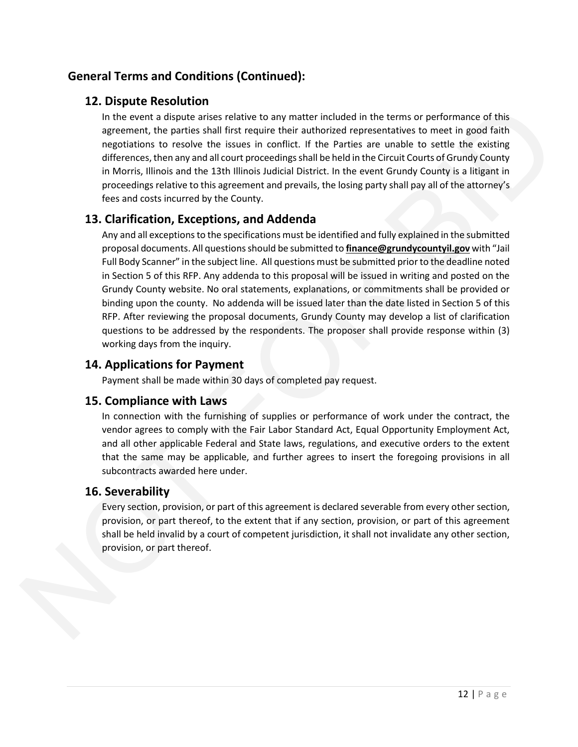## **General Terms and Conditions (Continued):**

## **12. Dispute Resolution**

In the event a dispute arises relative to any matter included in the terms or performance of this agreement, the parties shall first require their authorized representatives to meet in good faith negotiations to resolve the issues in conflict. If the Parties are unable to settle the existing differences, then any and all court proceedings shall be held in the Circuit Courts of Grundy County in Morris, Illinois and the 13th Illinois Judicial District. In the event Grundy County is a litigant in proceedings relative to this agreement and prevails, the losing party shall pay all of the attorney's fees and costs incurred by the County.

### **13. Clarification, Exceptions, and Addenda**

Any and all exceptions to the specifications must be identified and fully explained in the submitted proposal documents. All questions should be submitted to **finance@grundycountyil.gov** with "Jail Full Body Scanner" in the subject line. All questions must be submitted priorto the deadline noted in Section 5 of this RFP. Any addenda to this proposal will be issued in writing and posted on the Grundy County website. No oral statements, explanations, or commitments shall be provided or binding upon the county. No addenda will be issued later than the date listed in Section 5 of this RFP. After reviewing the proposal documents, Grundy County may develop a list of clarification questions to be addressed by the respondents. The proposer shall provide response within (3) working days from the inquiry. 1. Cooperation and securities computed in the terms of performance of this appearent. He particles and first required the terms of performance of this appearent. He particles and first required to the relation of the posit

## **14. Applications for Payment**

Payment shall be made within 30 days of completed pay request.

### **15. Compliance with Laws**

In connection with the furnishing of supplies or performance of work under the contract, the vendor agrees to comply with the Fair Labor Standard Act, Equal Opportunity Employment Act, and all other applicable Federal and State laws, regulations, and executive orders to the extent that the same may be applicable, and further agrees to insert the foregoing provisions in all subcontracts awarded here under.

### **16. Severability**

Every section, provision, or part of this agreement is declared severable from every other section, provision, or part thereof, to the extent that if any section, provision, or part of this agreement shall be held invalid by a court of competent jurisdiction, it shall not invalidate any other section, provision, or part thereof.